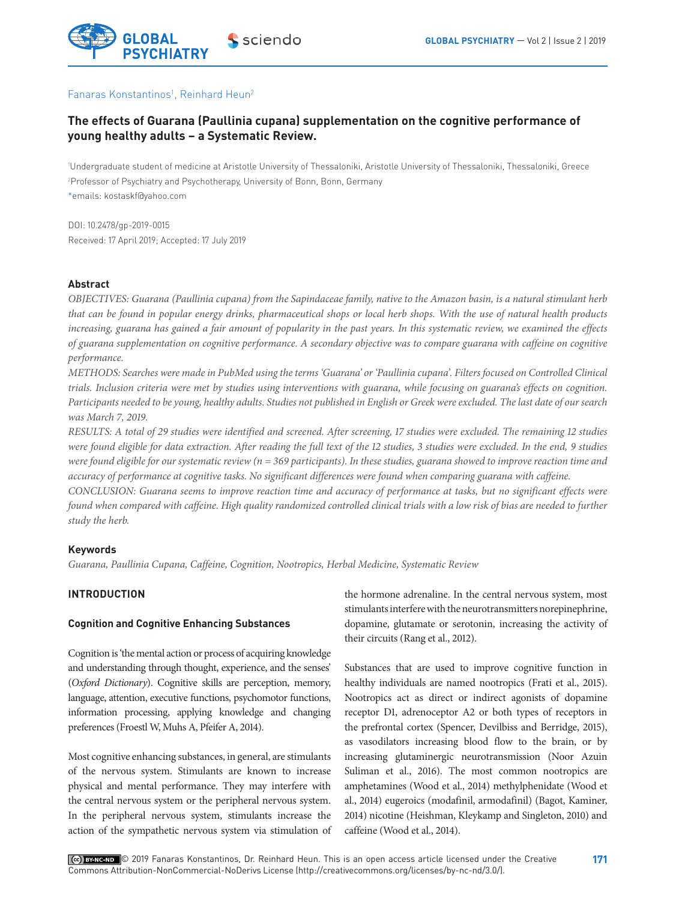

#### Fanaras Konstantinos<sup>1</sup>, Reinhard Heun<sup>2</sup>

# **The effects of Guarana (Paullinia cupana) supplementation on the cognitive performance of young healthy adults – a Systematic Review.**

1 Undergraduate student of medicine at Aristotle University of Thessaloniki, Aristotle University of Thessaloniki, Thessaloniki, Greece 2 Professor of Psychiatry and Psychotherapy, University of Bonn, Bonn, Germany \*emails: kostaskf@yahoo.com

DOI: 10.2478/gp-2019-0015 Received: 17 April 2019; Accepted: 17 July 2019

### **Abstract**

*OBJECTIVES: Guarana (Paullinia cupana) from the Sapindaceae family, native to the Amazon basin, is a natural stimulant herb that can be found in popular energy drinks, pharmaceutical shops or local herb shops. With the use of natural health products increasing, guarana has gained a fair amount of popularity in the past years. In this systematic review, we examined the effects of guarana supplementation on cognitive performance. A secondary objective was to compare guarana with caffeine on cognitive performance.*

*METHODS: Searches were made in PubMed using the terms 'Guarana' or 'Paullinia cupana'. Filters focused on Controlled Clinical trials. Inclusion criteria were met by studies using interventions with guarana, while focusing on guarana's effects on cognition. Participants needed to be young, healthy adults. Studies not published in English or Greek were excluded. The last date of our search was March 7, 2019.*

*RESULTS: A total of 29 studies were identified and screened. After screening, 17 studies were excluded. The remaining 12 studies were found eligible for data extraction. After reading the full text of the 12 studies, 3 studies were excluded. In the end, 9 studies were found eligible for our systematic review (n = 369 participants). In these studies, guarana showed to improve reaction time and accuracy of performance at cognitive tasks. No significant differences were found when comparing guarana with caffeine.*

*CONCLUSION: Guarana seems to improve reaction time and accuracy of performance at tasks, but no significant effects were found when compared with caffeine. High quality randomized controlled clinical trials with a low risk of bias are needed to further study the herb.*

## **Keywords**

*Guarana, Paullinia Cupana, Caffeine, Cognition, Nootropics, Herbal Medicine, Systematic Review*

# **INTRODUCTION**

#### **Cognition and Cognitive Enhancing Substances**

Cognition is 'the mental action or process of acquiring knowledge and understanding through thought, experience, and the senses' (*Oxford Dictionary*). Cognitive skills are perception, memory, language, attention, executive functions, psychomotor functions, information processing, applying knowledge and changing preferences (Froestl W, Muhs A, Pfeifer A, 2014).

Most cognitive enhancing substances, in general, are stimulants of the nervous system. Stimulants are known to increase physical and mental performance. They may interfere with the central nervous system or the peripheral nervous system. In the peripheral nervous system, stimulants increase the action of the sympathetic nervous system via stimulation of the hormone adrenaline. In the central nervous system, most stimulants interfere with the neurotransmitters norepinephrine, dopamine, glutamate or serotonin, increasing the activity of their circuits (Rang et al., 2012).

Substances that are used to improve cognitive function in healthy individuals are named nootropics (Frati et al., 2015). Nootropics act as direct or indirect agonists of dopamine receptor D1, adrenoceptor A2 or both types of receptors in the prefrontal cortex (Spencer, Devilbiss and Berridge, 2015), as vasodilators increasing blood flow to the brain, or by increasing glutaminergic neurotransmission (Noor Azuin Suliman et al., 2016). The most common nootropics are amphetamines (Wood et al., 2014) methylphenidate (Wood et al., 2014) eugeroics (modafinil, armodafinil) (Bagot, Kaminer, 2014) nicotine (Heishman, Kleykamp and Singleton, 2010) and caffeine (Wood et al., 2014).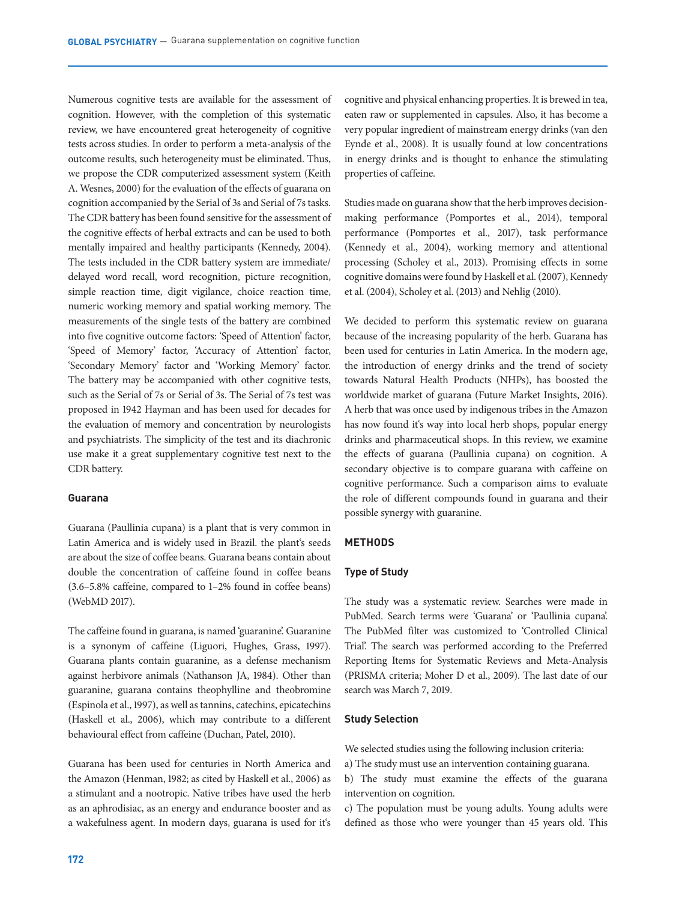Numerous cognitive tests are available for the assessment of cognition. However, with the completion of this systematic review, we have encountered great heterogeneity of cognitive tests across studies. In order to perform a meta-analysis of the outcome results, such heterogeneity must be eliminated. Thus, we propose the CDR computerized assessment system (Keith A. Wesnes, 2000) for the evaluation of the effects of guarana on cognition accompanied by the Serial of 3s and Serial of 7s tasks. The CDR battery has been found sensitive for the assessment of the cognitive effects of herbal extracts and can be used to both mentally impaired and healthy participants (Kennedy, 2004). The tests included in the CDR battery system are immediate/ delayed word recall, word recognition, picture recognition, simple reaction time, digit vigilance, choice reaction time, numeric working memory and spatial working memory. The measurements of the single tests of the battery are combined into five cognitive outcome factors: 'Speed of Attention' factor, 'Speed of Memory' factor, 'Accuracy of Attention' factor, 'Secondary Memory' factor and 'Working Memory' factor. The battery may be accompanied with other cognitive tests, such as the Serial of 7s or Serial of 3s. The Serial of 7s test was proposed in 1942 Hayman and has been used for decades for the evaluation of memory and concentration by neurologists and psychiatrists. The simplicity of the test and its diachronic use make it a great supplementary cognitive test next to the CDR battery.

#### **Guarana**

Guarana (Paullinia cupana) is a plant that is very common in Latin America and is widely used in Brazil. the plant's seeds are about the size of coffee beans. Guarana beans contain about double the concentration of caffeine found in coffee beans (3.6–5.8% caffeine, compared to 1–2% found in coffee beans) (WebMD 2017).

The caffeine found in guarana, is named 'guaranine'. Guaranine is a synonym of caffeine (Liguori, Hughes, Grass, 1997). Guarana plants contain guaranine, as a defense mechanism against herbivore animals (Nathanson JA, 1984). Other than guaranine, guarana contains theophylline and theobromine (Espinola et al., 1997), as well as tannins, catechins, epicatechins (Haskell et al., 2006), which may contribute to a different behavioural effect from caffeine (Duchan, Patel, 2010).

Guarana has been used for centuries in North America and the Amazon (Henman, 1982; as cited by Haskell et al., 2006) as a stimulant and a nootropic. Native tribes have used the herb as an aphrodisiac, as an energy and endurance booster and as a wakefulness agent. In modern days, guarana is used for it's cognitive and physical enhancing properties. It is brewed in tea, eaten raw or supplemented in capsules. Also, it has become a very popular ingredient of mainstream energy drinks (van den Eynde et al., 2008). It is usually found at low concentrations in energy drinks and is thought to enhance the stimulating properties of caffeine.

Studies made on guarana show that the herb improves decisionmaking performance (Pomportes et al., 2014), temporal performance (Pomportes et al., 2017), task performance (Kennedy et al., 2004), working memory and attentional processing (Scholey et al., 2013). Promising effects in some cognitive domains were found by Haskell et al. (2007), Kennedy et al. (2004), Scholey et al. (2013) and Nehlig (2010).

We decided to perform this systematic review on guarana because of the increasing popularity of the herb. Guarana has been used for centuries in Latin America. In the modern age, the introduction of energy drinks and the trend of society towards Natural Health Products (NHPs), has boosted the worldwide market of guarana (Future Market Insights, 2016). A herb that was once used by indigenous tribes in the Amazon has now found it's way into local herb shops, popular energy drinks and pharmaceutical shops. In this review, we examine the effects of guarana (Paullinia cupana) on cognition. A secondary objective is to compare guarana with caffeine on cognitive performance. Such a comparison aims to evaluate the role of different compounds found in guarana and their possible synergy with guaranine.

#### **METHODS**

#### **Type of Study**

The study was a systematic review. Searches were made in PubMed. Search terms were 'Guarana' or 'Paullinia cupana'. The PubMed filter was customized to 'Controlled Clinical Trial'. The search was performed according to the Preferred Reporting Items for Systematic Reviews and Meta-Analysis (PRISMA criteria; Moher D et al., 2009). The last date of our search was March 7, 2019.

#### **Study Selection**

We selected studies using the following inclusion criteria:

a) The study must use an intervention containing guarana.

b) The study must examine the effects of the guarana intervention on cognition.

c) The population must be young adults. Young adults were defined as those who were younger than 45 years old. This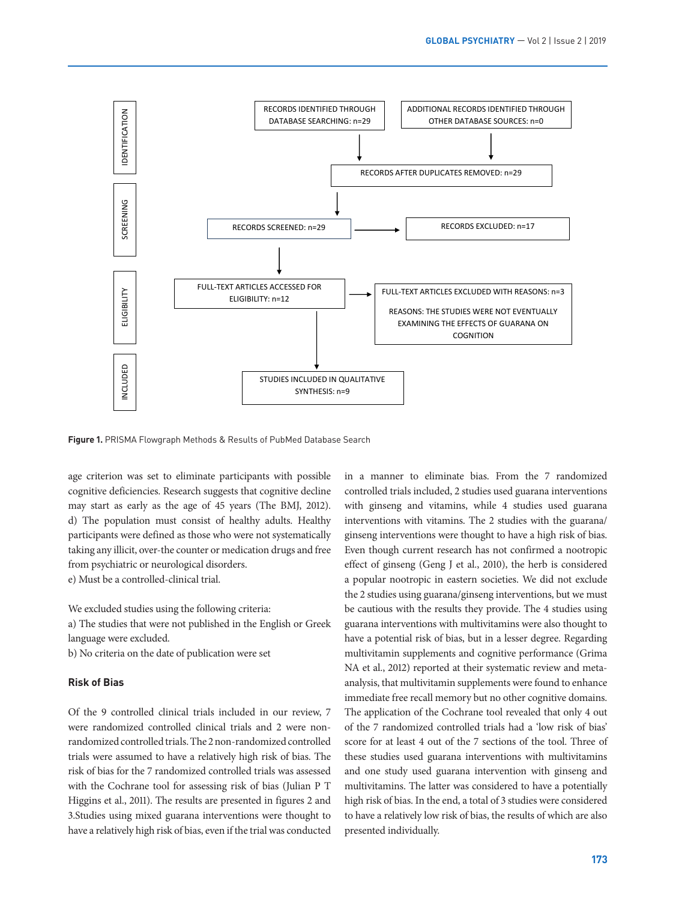

*PRISMA Flowgraph Methods & Results of PubMed Database Search*

**Figure 1. PRISMA Flowgraph Methods & Results of PubMed Database Search** 

age criterion was set to eliminate participants with possible cognitive deficiencies. Research suggests that cognitive decline may start as early as the age of 45 years (The BMJ, 2012). d) The population must consist of healthy adults. Healthy participants were defined as those who were not systematically taking any illicit, over-the counter or medication drugs and free from psychiatric or neurological disorders.

e) Must be a controlled-clinical trial.

We excluded studies using the following criteria:

a) The studies that were not published in the English or Greek language were excluded.

b) No criteria on the date of publication were set

#### **Risk of Bias**

Of the 9 controlled clinical trials included in our review, 7 were randomized controlled clinical trials and 2 were nonrandomized controlled trials. The 2 non-randomized controlled trials were assumed to have a relatively high risk of bias. The risk of bias for the 7 randomized controlled trials was assessed with the Cochrane tool for assessing risk of bias (Julian P T Higgins et al., 2011). The results are presented in figures 2 and 3.Studies using mixed guarana interventions were thought to have a relatively high risk of bias, even if the trial was conducted

in a manner to eliminate bias. From the 7 randomized controlled trials included, 2 studies used guarana interventions with ginseng and vitamins, while 4 studies used guarana interventions with vitamins. The 2 studies with the guarana/ ginseng interventions were thought to have a high risk of bias. Even though current research has not confirmed a nootropic effect of ginseng (Geng J et al., 2010), the herb is considered a popular nootropic in eastern societies. We did not exclude the 2 studies using guarana/ginseng interventions, but we must be cautious with the results they provide. The 4 studies using guarana interventions with multivitamins were also thought to have a potential risk of bias, but in a lesser degree. Regarding multivitamin supplements and cognitive performance (Grima NA et al., 2012) reported at their systematic review and metaanalysis, that multivitamin supplements were found to enhance immediate free recall memory but no other cognitive domains. The application of the Cochrane tool revealed that only 4 out of the 7 randomized controlled trials had a 'low risk of bias' score for at least 4 out of the 7 sections of the tool. Three of these studies used guarana interventions with multivitamins and one study used guarana intervention with ginseng and multivitamins. The latter was considered to have a potentially high risk of bias. In the end, a total of 3 studies were considered to have a relatively low risk of bias, the results of which are also presented individually.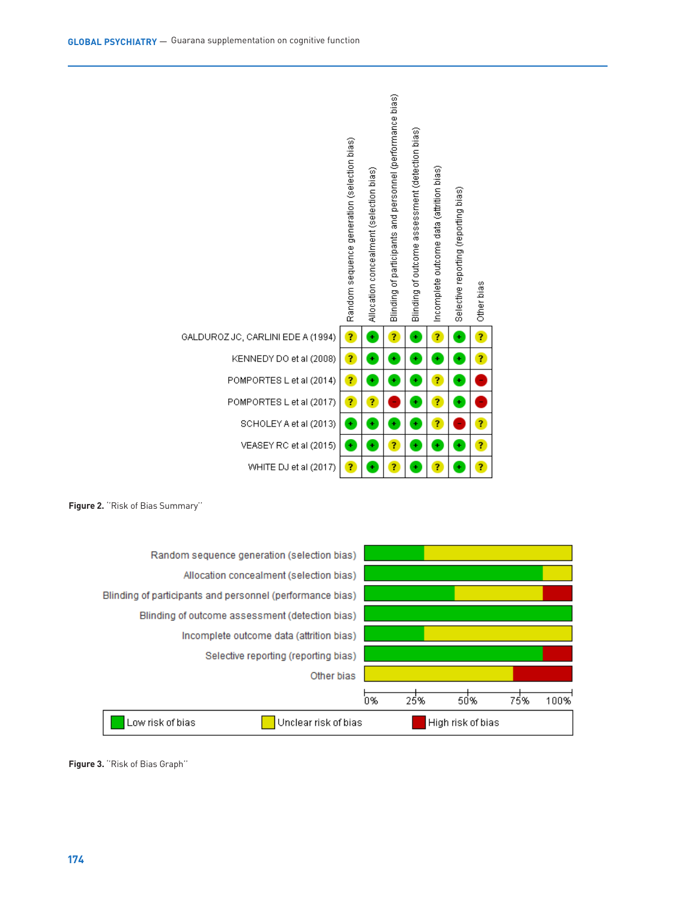





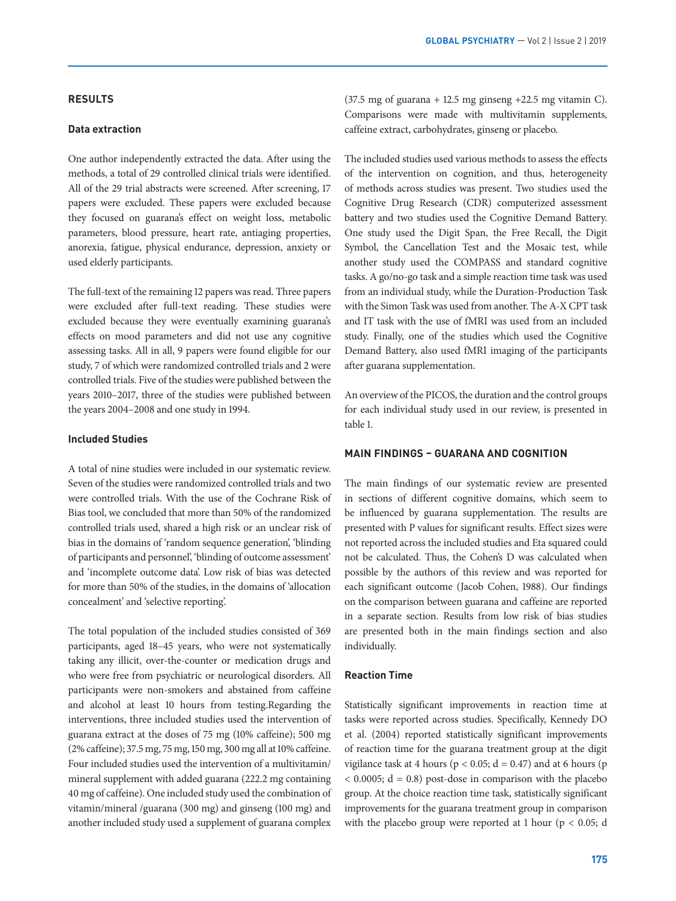#### **RESULTS**

#### **Data extraction**

One author independently extracted the data. After using the methods, a total of 29 controlled clinical trials were identified. All of the 29 trial abstracts were screened. After screening, 17 papers were excluded. These papers were excluded because they focused on guarana's effect on weight loss, metabolic parameters, blood pressure, heart rate, antiaging properties, anorexia, fatigue, physical endurance, depression, anxiety or used elderly participants.

The full-text of the remaining 12 papers was read. Three papers were excluded after full-text reading. These studies were excluded because they were eventually examining guarana's effects on mood parameters and did not use any cognitive assessing tasks. All in all, 9 papers were found eligible for our study, 7 of which were randomized controlled trials and 2 were controlled trials. Five of the studies were published between the years 2010–2017, three of the studies were published between the years 2004–2008 and one study in 1994.

#### **Included Studies**

A total of nine studies were included in our systematic review. Seven of the studies were randomized controlled trials and two were controlled trials. With the use of the Cochrane Risk of Bias tool, we concluded that more than 50% of the randomized controlled trials used, shared a high risk or an unclear risk of bias in the domains of 'random sequence generation', 'blinding of participants and personnel', 'blinding of outcome assessment' and 'incomplete outcome data'. Low risk of bias was detected for more than 50% of the studies, in the domains of 'allocation concealment' and 'selective reporting'.

The total population of the included studies consisted of 369 participants, aged 18–45 years, who were not systematically taking any illicit, over-the-counter or medication drugs and who were free from psychiatric or neurological disorders. All participants were non-smokers and abstained from caffeine and alcohol at least 10 hours from testing.Regarding the interventions, three included studies used the intervention of guarana extract at the doses of 75 mg (10% caffeine); 500 mg (2% caffeine); 37.5 mg, 75 mg, 150 mg, 300 mg all at 10% caffeine. Four included studies used the intervention of a multivitamin/ mineral supplement with added guarana (222.2 mg containing 40 mg of caffeine). One included study used the combination of vitamin/mineral /guarana (300 mg) and ginseng (100 mg) and another included study used a supplement of guarana complex

 $(37.5 \text{ mg of guarana} + 12.5 \text{ mg ginseng} + 22.5 \text{ mg vitamin C}).$ Comparisons were made with multivitamin supplements, caffeine extract, carbohydrates, ginseng or placebo.

The included studies used various methods to assess the effects of the intervention on cognition, and thus, heterogeneity of methods across studies was present. Two studies used the Cognitive Drug Research (CDR) computerized assessment battery and two studies used the Cognitive Demand Battery. One study used the Digit Span, the Free Recall, the Digit Symbol, the Cancellation Test and the Mosaic test, while another study used the COMPASS and standard cognitive tasks. A go/no-go task and a simple reaction time task was used from an individual study, while the Duration-Production Task with the Simon Task was used from another. The A-X CPT task and IT task with the use of fMRI was used from an included study. Finally, one of the studies which used the Cognitive Demand Battery, also used fMRI imaging of the participants after guarana supplementation.

An overview of the PICOS, the duration and the control groups for each individual study used in our review, is presented in table 1.

### **MAIN FINDINGS – GUARANA AND COGNITION**

The main findings of our systematic review are presented in sections of different cognitive domains, which seem to be influenced by guarana supplementation. The results are presented with P values for significant results. Effect sizes were not reported across the included studies and Eta squared could not be calculated. Thus, the Cohen's D was calculated when possible by the authors of this review and was reported for each significant outcome (Jacob Cohen, 1988). Our findings on the comparison between guarana and caffeine are reported in a separate section. Results from low risk of bias studies are presented both in the main findings section and also individually.

### **Reaction Time**

Statistically significant improvements in reaction time at tasks were reported across studies. Specifically, Kennedy DO et al. (2004) reported statistically significant improvements of reaction time for the guarana treatment group at the digit vigilance task at 4 hours ( $p < 0.05$ ;  $d = 0.47$ ) and at 6 hours ( $p$  $<$  0.0005; d = 0.8) post-dose in comparison with the placebo group. At the choice reaction time task, statistically significant improvements for the guarana treatment group in comparison with the placebo group were reported at 1 hour ( $p < 0.05$ ; d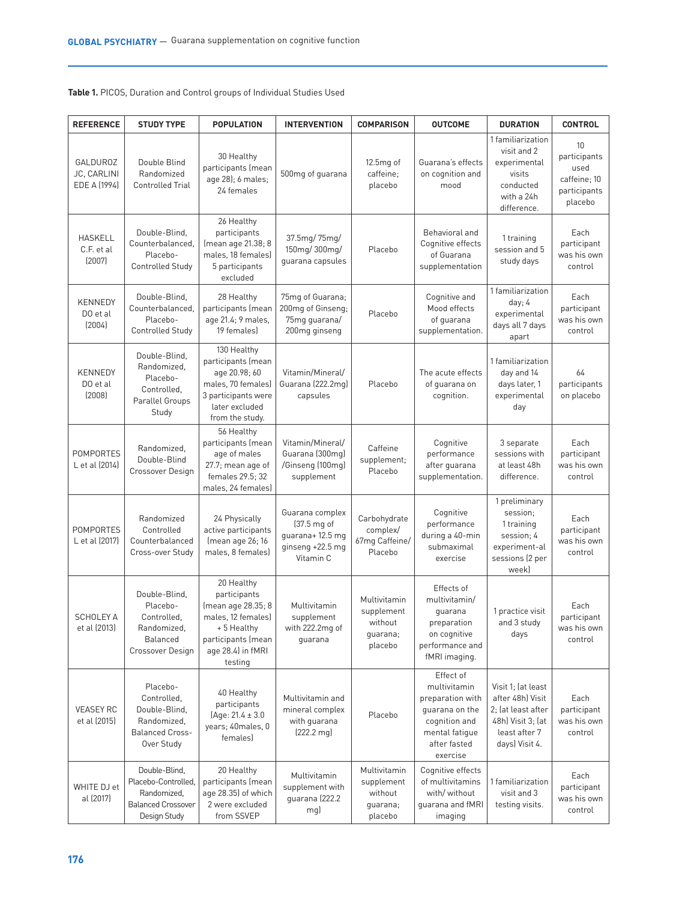**Table 1.** PICOS, Duration and Control groups of Individual Studies Used

| <b>REFERENCE</b>                        | <b>STUDY TYPE</b>                                                                                | <b>POPULATION</b>                                                                                                                          | <b>INTERVENTION</b>                                                                | <b>COMPARISON</b>                                            | <b>OUTCOME</b>                                                                                                                 | <b>DURATION</b>                                                                                                      | <b>CONTROL</b>                                                        |
|-----------------------------------------|--------------------------------------------------------------------------------------------------|--------------------------------------------------------------------------------------------------------------------------------------------|------------------------------------------------------------------------------------|--------------------------------------------------------------|--------------------------------------------------------------------------------------------------------------------------------|----------------------------------------------------------------------------------------------------------------------|-----------------------------------------------------------------------|
| GALDUROZ<br>JC, CARLINI<br>EDE A (1994) | Double Blind<br>Randomized<br><b>Controlled Trial</b>                                            | 30 Healthy<br>participants (mean<br>age 28); 6 males;<br>24 females                                                                        | 500mg of guarana                                                                   | 12.5mg of<br>caffeine;<br>placebo                            | Guarana's effects<br>on cognition and<br>mood                                                                                  | 1 familiarization<br>visit and 2<br>experimental<br>visits<br>conducted<br>with a 24h<br>difference.                 | 10<br>participants<br>used<br>caffeine; 10<br>participants<br>placebo |
| <b>HASKELL</b><br>C.F. et al<br>(2007)  | Double-Blind.<br>Counterbalanced,<br>Placebo-<br><b>Controlled Study</b>                         | 26 Healthy<br>participants<br>(mean age 21.38; 8<br>males, 18 females)<br>5 participants<br>excluded                                       | $37.5 \text{mg} / 75 \text{mg}$<br>150mg/300mg/<br>quarana capsules                | Placebo                                                      | Behavioral and<br>Cognitive effects<br>of Guarana<br>supplementation                                                           | 1 training<br>session and 5<br>study days                                                                            | Each<br>participant<br>was his own<br>control                         |
| <b>KENNEDY</b><br>DO et al<br>(2004)    | Double-Blind,<br>Counterbalanced,<br>Placebo-<br><b>Controlled Study</b>                         | 28 Healthy<br>participants (mean<br>age 21.4; 9 males,<br>19 females)                                                                      | 75mg of Guarana;<br>200mg of Ginseng;<br>75mg guarana/<br>200mg ginseng            | Placebo                                                      | Cognitive and<br>Mood effects<br>of guarana<br>supplementation.                                                                | 1 familiarization<br>day; 4<br>experimental<br>days all 7 days<br>apart                                              | Each<br>participant<br>was his own<br>control                         |
| <b>KENNEDY</b><br>DO et al<br>(2008)    | Double-Blind,<br>Randomized,<br>Placebo-<br>Controlled.<br>Parallel Groups<br>Study              | 130 Healthy<br>participants (mean<br>age 20.98; 60<br>males, 70 females)<br>3 participants were<br>later excluded<br>from the study.       | Vitamin/Mineral/<br>Guarana (222.2mg)<br>capsules                                  | Placebo                                                      | The acute effects<br>of guarana on<br>cognition.                                                                               | 1 familiarization<br>day and 14<br>days later, 1<br>experimental<br>day                                              | 64<br>participants<br>on placebo                                      |
| <b>POMPORTES</b><br>L et al (2014)      | Randomized,<br>Double-Blind<br>Crossover Design                                                  | 56 Healthy<br>participants (mean<br>age of males<br>27.7; mean age of<br>females 29.5; 32<br>males, 24 females)                            | Vitamin/Mineral/<br>Guarana (300mg)<br>/Ginseng (100mg)<br>supplement              | Caffeine<br>supplement;<br>Placebo                           | Cognitive<br>performance<br>after guarana<br>supplementation.                                                                  | 3 separate<br>sessions with<br>at least 48h<br>difference.                                                           | Each<br>participant<br>was his own<br>control                         |
| <b>POMPORTES</b><br>L et al (2017)      | Randomized<br>Controlled<br>Counterbalanced<br>Cross-over Study                                  | 24 Physically<br>active participants<br>(mean age 26; 16<br>males, 8 females)                                                              | Guarana complex<br>(37.5 mg of<br>guarana+12.5 mg<br>ginseng +22.5 mg<br>Vitamin C | Carbohydrate<br>complex/<br>67mg Caffeine/<br>Placebo        | Cognitive<br>performance<br>during a 40-min<br>submaximal<br>exercise                                                          | 1 preliminary<br>session:<br>1 training<br>session; 4<br>experiment-al<br>sessions (2 per<br>week)                   | Each<br>participant<br>was his own<br>control                         |
| <b>SCHOLEY A</b><br>et al (2013)        | Double-Blind,<br>Placebo-<br>Controlled,<br>Randomized,<br>Balanced<br>Crossover Design          | 20 Healthy<br>participants<br>(mean age 28.35; 8<br>males, 12 females)<br>+5 Healthy<br>participants (mean<br>age 28.4) in fMRI<br>testing | Multivitamin<br>supplement<br>with 222.2mg of<br>guarana                           | Multivitamin<br>supplement<br>without<br>quarana;<br>placebo | Effects of<br>multivitamin/<br>quarana<br>preparation<br>on cognitive<br>performance and<br>fMRI imaging.                      | 1 practice visit<br>and 3 study<br>days                                                                              | Each<br>participant<br>was his own<br>control                         |
| <b>VEASEY RC</b><br>et al (2015)        | Placebo-<br>Controlled,<br>Double-Blind,<br>Randomized,<br><b>Balanced Cross-</b><br>Over Study  | 40 Healthy<br>participants<br>$(Aqe: 21.4 \pm 3.0)$<br>years; 40males, 0<br>females)                                                       | Multivitamin and<br>mineral complex<br>with guarana<br>[222.2 mg]                  | Placebo                                                      | Effect of<br>multivitamin<br>preparation with<br>guarana on the<br>cognition and<br>mental fatigue<br>after fasted<br>exercise | Visit 1; (at least<br>after 48hl Visit<br>2; (at least after<br>48h) Visit 3; (at<br>least after 7<br>days) Visit 4. | Each<br>participant<br>was his own<br>control                         |
| WHITE DJ et<br>al (2017)                | Double-Blind,<br>Placebo-Controlled,<br>Randomized,<br><b>Balanced Crossover</b><br>Design Study | 20 Healthy<br>participants (mean<br>age 28.35) of which<br>2 were excluded<br>from SSVEP                                                   | Multivitamin<br>supplement with<br>quarana (222.2)<br>mg)                          | Multivitamin<br>supplement<br>without<br>guarana;<br>placebo | Cognitive effects<br>of multivitamins<br>with/ without<br>guarana and fMRI<br>imaging                                          | 1 familiarization<br>visit and 3<br>testing visits.                                                                  | Each<br>participant<br>was his own<br>control                         |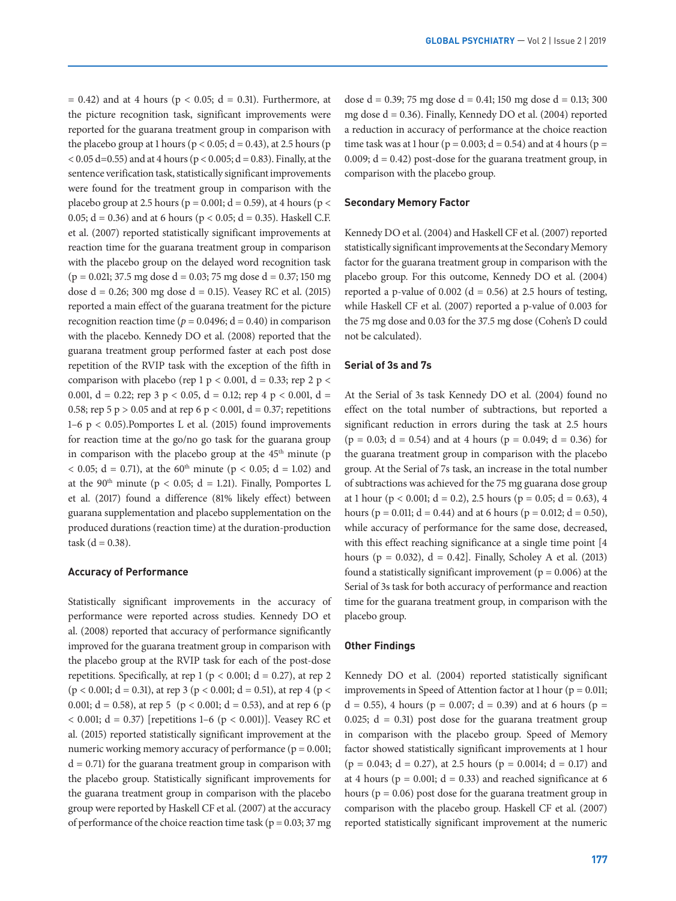$= 0.42$ ) and at 4 hours ( $p < 0.05$ ; d  $= 0.31$ ). Furthermore, at the picture recognition task, significant improvements were reported for the guarana treatment group in comparison with the placebo group at 1 hours ( $p < 0.05$ ;  $d = 0.43$ ), at 2.5 hours ( $p$ )  $< 0.05 d=0.55$ ) and at 4 hours ( $p < 0.005$ ;  $d = 0.83$ ). Finally, at the sentence verification task, statistically significant improvements were found for the treatment group in comparison with the placebo group at 2.5 hours ( $p = 0.001$ ;  $d = 0.59$ ), at 4 hours ( $p <$ 0.05;  $d = 0.36$ ) and at 6 hours ( $p < 0.05$ ;  $d = 0.35$ ). Haskell C.F. et al. (2007) reported statistically significant improvements at reaction time for the guarana treatment group in comparison with the placebo group on the delayed word recognition task  $(p = 0.021; 37.5 \text{ mg dose d} = 0.03; 75 \text{ mg dose d} = 0.37; 150 \text{ mg}$ dose  $d = 0.26$ ; 300 mg dose  $d = 0.15$ ). Veasey RC et al. (2015) reported a main effect of the guarana treatment for the picture recognition reaction time ( $p = 0.0496$ ;  $d = 0.40$ ) in comparison with the placebo. Kennedy DO et al. (2008) reported that the guarana treatment group performed faster at each post dose repetition of the RVIP task with the exception of the fifth in comparison with placebo (rep 1 p < 0.001, d = 0.33; rep 2 p < 0.001,  $d = 0.22$ ; rep 3 p < 0.05,  $d = 0.12$ ; rep 4 p < 0.001,  $d =$ 0.58; rep 5 p > 0.05 and at rep 6 p < 0.001, d = 0.37; repetitions 1–6  $p < 0.05$ ). Pomportes L et al. (2015) found improvements for reaction time at the go/no go task for the guarana group in comparison with the placebo group at the  $45<sup>th</sup>$  minute (p  $< 0.05$ ; d = 0.71), at the 60<sup>th</sup> minute (p  $< 0.05$ ; d = 1.02) and at the 90<sup>th</sup> minute ( $p < 0.05$ ; d = 1.21). Finally, Pomportes L et al. (2017) found a difference (81% likely effect) between guarana supplementation and placebo supplementation on the produced durations (reaction time) at the duration-production  $task (d = 0.38)$ .

#### **Accuracy of Performance**

Statistically significant improvements in the accuracy of performance were reported across studies. Kennedy DO et al. (2008) reported that accuracy of performance significantly improved for the guarana treatment group in comparison with the placebo group at the RVIP task for each of the post-dose repetitions. Specifically, at rep 1 ( $p < 0.001$ ; d = 0.27), at rep 2  $(p < 0.001; d = 0.31)$ , at rep 3  $(p < 0.001; d = 0.51)$ , at rep 4  $(p <$ 0.001;  $d = 0.58$ ), at rep 5 (p < 0.001;  $d = 0.53$ ), and at rep 6 (p  $(0.001; d = 0.37)$  [repetitions 1–6 (p  $(0.001)$ ]. Veasey RC et al. (2015) reported statistically significant improvement at the numeric working memory accuracy of performance ( $p = 0.001$ ;  $d = 0.71$ ) for the guarana treatment group in comparison with the placebo group. Statistically significant improvements for the guarana treatment group in comparison with the placebo group were reported by Haskell CF et al. (2007) at the accuracy of performance of the choice reaction time task ( $p = 0.03$ ; 37 mg

dose  $d = 0.39$ ; 75 mg dose  $d = 0.41$ ; 150 mg dose  $d = 0.13$ ; 300 mg dose d = 0.36). Finally, Kennedy DO et al. (2004) reported a reduction in accuracy of performance at the choice reaction time task was at 1 hour ( $p = 0.003$ ;  $d = 0.54$ ) and at 4 hours ( $p =$ 0.009;  $d = 0.42$ ) post-dose for the guarana treatment group, in comparison with the placebo group.

#### **Secondary Memory Factor**

Kennedy DO et al. (2004) and Haskell CF et al. (2007) reported statistically significant improvements at the Secondary Memory factor for the guarana treatment group in comparison with the placebo group. For this outcome, Kennedy DO et al. (2004) reported a p-value of  $0.002$  (d = 0.56) at 2.5 hours of testing, while Haskell CF et al. (2007) reported a p-value of 0.003 for the 75 mg dose and 0.03 for the 37.5 mg dose (Cohen's D could not be calculated).

#### **Serial of 3s and 7s**

At the Serial of 3s task Kennedy DO et al. (2004) found no effect on the total number of subtractions, but reported a significant reduction in errors during the task at 2.5 hours  $(p = 0.03; d = 0.54)$  and at 4 hours  $(p = 0.049; d = 0.36)$  for the guarana treatment group in comparison with the placebo group. At the Serial of 7s task, an increase in the total number of subtractions was achieved for the 75 mg guarana dose group at 1 hour ( $p < 0.001$ ;  $d = 0.2$ ), 2.5 hours ( $p = 0.05$ ;  $d = 0.63$ ), 4 hours ( $p = 0.011$ ;  $d = 0.44$ ) and at 6 hours ( $p = 0.012$ ;  $d = 0.50$ ), while accuracy of performance for the same dose, decreased, with this effect reaching significance at a single time point [4 hours ( $p = 0.032$ ),  $d = 0.42$ ]. Finally, Scholey A et al. (2013) found a statistically significant improvement ( $p = 0.006$ ) at the Serial of 3s task for both accuracy of performance and reaction time for the guarana treatment group, in comparison with the placebo group.

#### **Other Findings**

Kennedy DO et al. (2004) reported statistically significant improvements in Speed of Attention factor at 1 hour ( $p = 0.011$ ;  $d = 0.55$ ), 4 hours (p = 0.007;  $d = 0.39$ ) and at 6 hours (p = 0.025;  $d = 0.31$ ) post dose for the guarana treatment group in comparison with the placebo group. Speed of Memory factor showed statistically significant improvements at 1 hour  $(p = 0.043; d = 0.27)$ , at 2.5 hours  $(p = 0.0014; d = 0.17)$  and at 4 hours ( $p = 0.001$ ;  $d = 0.33$ ) and reached significance at 6 hours ( $p = 0.06$ ) post dose for the guarana treatment group in comparison with the placebo group. Haskell CF et al. (2007) reported statistically significant improvement at the numeric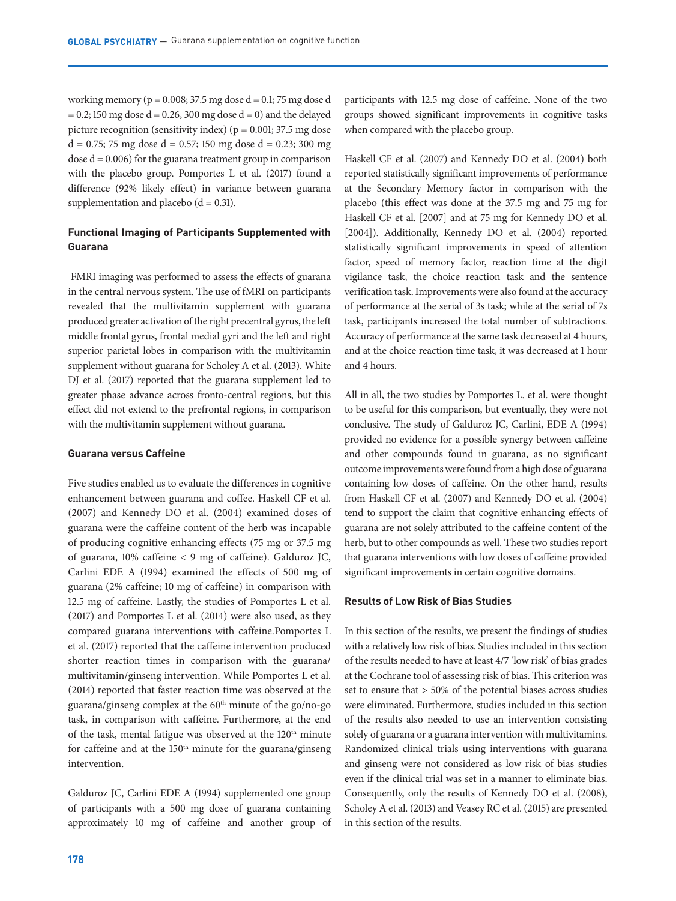working memory ( $p = 0.008$ ; 37.5 mg dose d = 0.1; 75 mg dose d  $= 0.2$ ; 150 mg dose d  $= 0.26$ , 300 mg dose d  $= 0$ ) and the delayed picture recognition (sensitivity index) ( $p = 0.001$ ; 37.5 mg dose  $d = 0.75$ ; 75 mg dose  $d = 0.57$ ; 150 mg dose  $d = 0.23$ ; 300 mg dose  $d = 0.006$ ) for the guarana treatment group in comparison with the placebo group. Pomportes L et al. (2017) found a difference (92% likely effect) in variance between guarana supplementation and placebo  $(d = 0.31)$ .

# **Functional Imaging of Participants Supplemented with Guarana**

 FMRI imaging was performed to assess the effects of guarana in the central nervous system. The use of fMRI on participants revealed that the multivitamin supplement with guarana produced greater activation of the right precentral gyrus, the left middle frontal gyrus, frontal medial gyri and the left and right superior parietal lobes in comparison with the multivitamin supplement without guarana for Scholey A et al. (2013). White DJ et al. (2017) reported that the guarana supplement led to greater phase advance across fronto-central regions, but this effect did not extend to the prefrontal regions, in comparison with the multivitamin supplement without guarana.

#### **Guarana versus Caffeine**

Five studies enabled us to evaluate the differences in cognitive enhancement between guarana and coffee. Haskell CF et al. (2007) and Kennedy DO et al. (2004) examined doses of guarana were the caffeine content of the herb was incapable of producing cognitive enhancing effects (75 mg or 37.5 mg of guarana, 10% caffeine < 9 mg of caffeine). Galduroz JC, Carlini EDE A (1994) examined the effects of 500 mg of guarana (2% caffeine; 10 mg of caffeine) in comparison with 12.5 mg of caffeine. Lastly, the studies of Pomportes L et al. (2017) and Pomportes L et al. (2014) were also used, as they compared guarana interventions with caffeine.Pomportes L et al. (2017) reported that the caffeine intervention produced shorter reaction times in comparison with the guarana/ multivitamin/ginseng intervention. While Pomportes L et al. (2014) reported that faster reaction time was observed at the guarana/ginseng complex at the  $60<sup>th</sup>$  minute of the go/no-go task, in comparison with caffeine. Furthermore, at the end of the task, mental fatigue was observed at the 120<sup>th</sup> minute for caffeine and at the  $150<sup>th</sup>$  minute for the guarana/ginseng intervention.

Galduroz JC, Carlini EDE A (1994) supplemented one group of participants with a 500 mg dose of guarana containing approximately 10 mg of caffeine and another group of participants with 12.5 mg dose of caffeine. None of the two groups showed significant improvements in cognitive tasks when compared with the placebo group.

Haskell CF et al. (2007) and Kennedy DO et al. (2004) both reported statistically significant improvements of performance at the Secondary Memory factor in comparison with the placebo (this effect was done at the 37.5 mg and 75 mg for Haskell CF et al. [2007] and at 75 mg for Kennedy DO et al. [2004]). Additionally, Kennedy DO et al. (2004) reported statistically significant improvements in speed of attention factor, speed of memory factor, reaction time at the digit vigilance task, the choice reaction task and the sentence verification task. Improvements were also found at the accuracy of performance at the serial of 3s task; while at the serial of 7s task, participants increased the total number of subtractions. Accuracy of performance at the same task decreased at 4 hours, and at the choice reaction time task, it was decreased at 1 hour and 4 hours.

All in all, the two studies by Pomportes L. et al. were thought to be useful for this comparison, but eventually, they were not conclusive. The study of Galduroz JC, Carlini, EDE A (1994) provided no evidence for a possible synergy between caffeine and other compounds found in guarana, as no significant outcome improvements were found from a high dose of guarana containing low doses of caffeine. On the other hand, results from Haskell CF et al. (2007) and Kennedy DO et al. (2004) tend to support the claim that cognitive enhancing effects of guarana are not solely attributed to the caffeine content of the herb, but to other compounds as well. These two studies report that guarana interventions with low doses of caffeine provided significant improvements in certain cognitive domains.

## **Results of Low Risk of Bias Studies**

In this section of the results, we present the findings of studies with a relatively low risk of bias. Studies included in this section of the results needed to have at least 4/7 'low risk' of bias grades at the Cochrane tool of assessing risk of bias. This criterion was set to ensure that > 50% of the potential biases across studies were eliminated. Furthermore, studies included in this section of the results also needed to use an intervention consisting solely of guarana or a guarana intervention with multivitamins. Randomized clinical trials using interventions with guarana and ginseng were not considered as low risk of bias studies even if the clinical trial was set in a manner to eliminate bias. Consequently, only the results of Kennedy DO et al. (2008), Scholey A et al. (2013) and Veasey RC et al. (2015) are presented in this section of the results.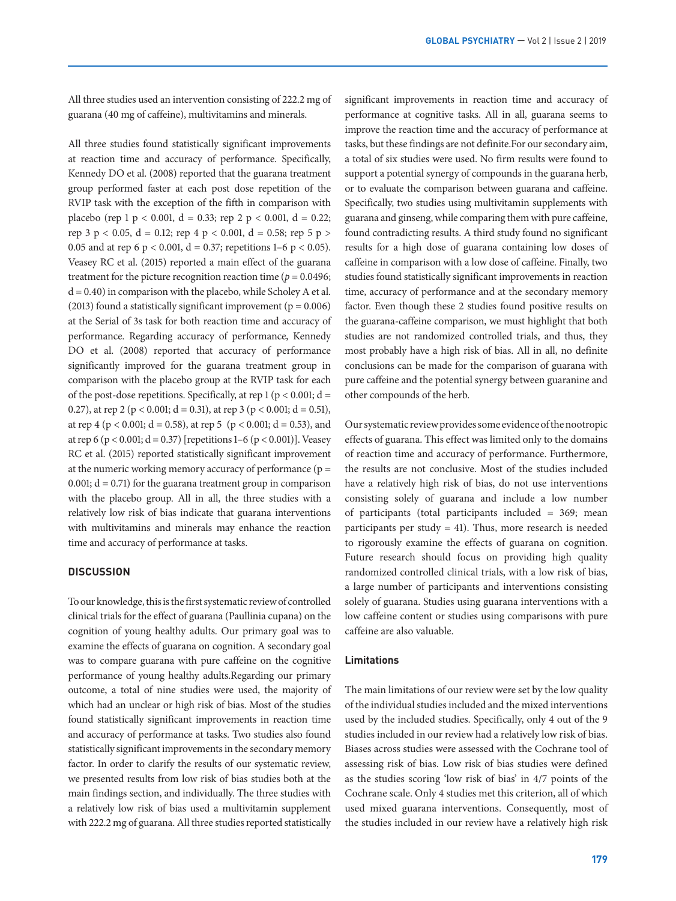All three studies used an intervention consisting of 222.2 mg of guarana (40 mg of caffeine), multivitamins and minerals.

All three studies found statistically significant improvements at reaction time and accuracy of performance. Specifically, Kennedy DO et al. (2008) reported that the guarana treatment group performed faster at each post dose repetition of the RVIP task with the exception of the fifth in comparison with placebo (rep 1 p < 0.001, d = 0.33; rep 2 p < 0.001, d = 0.22; rep 3 p < 0.05, d = 0.12; rep 4 p < 0.001, d = 0.58; rep 5 p > 0.05 and at rep 6 p < 0.001, d = 0.37; repetitions 1–6 p < 0.05). Veasey RC et al. (2015) reported a main effect of the guarana treatment for the picture recognition reaction time ( $p = 0.0496$ ;  $d = 0.40$ ) in comparison with the placebo, while Scholey A et al. (2013) found a statistically significant improvement ( $p = 0.006$ ) at the Serial of 3s task for both reaction time and accuracy of performance. Regarding accuracy of performance, Kennedy DO et al. (2008) reported that accuracy of performance significantly improved for the guarana treatment group in comparison with the placebo group at the RVIP task for each of the post-dose repetitions. Specifically, at rep 1 ( $p < 0.001$ ; d = 0.27), at rep 2 ( $p < 0.001$ ; d = 0.31), at rep 3 ( $p < 0.001$ ; d = 0.51), at rep 4 ( $p < 0.001$ ; d = 0.58), at rep 5 ( $p < 0.001$ ; d = 0.53), and at rep 6 ( $p < 0.001$ ;  $d = 0.37$ ) [repetitions 1–6 ( $p < 0.001$ )]. Veasey RC et al. (2015) reported statistically significant improvement at the numeric working memory accuracy of performance  $(p =$ 0.001;  $d = 0.71$ ) for the guarana treatment group in comparison with the placebo group. All in all, the three studies with a relatively low risk of bias indicate that guarana interventions with multivitamins and minerals may enhance the reaction time and accuracy of performance at tasks.

### **DISCUSSION**

To our knowledge, this is the first systematic review of controlled clinical trials for the effect of guarana (Paullinia cupana) on the cognition of young healthy adults. Our primary goal was to examine the effects of guarana on cognition. A secondary goal was to compare guarana with pure caffeine on the cognitive performance of young healthy adults.Regarding our primary outcome, a total of nine studies were used, the majority of which had an unclear or high risk of bias. Most of the studies found statistically significant improvements in reaction time and accuracy of performance at tasks. Two studies also found statistically significant improvements in the secondary memory factor. In order to clarify the results of our systematic review, we presented results from low risk of bias studies both at the main findings section, and individually. The three studies with a relatively low risk of bias used a multivitamin supplement with 222.2 mg of guarana. All three studies reported statistically

significant improvements in reaction time and accuracy of performance at cognitive tasks. All in all, guarana seems to improve the reaction time and the accuracy of performance at tasks, but these findings are not definite.For our secondary aim, a total of six studies were used. No firm results were found to support a potential synergy of compounds in the guarana herb, or to evaluate the comparison between guarana and caffeine. Specifically, two studies using multivitamin supplements with guarana and ginseng, while comparing them with pure caffeine, found contradicting results. A third study found no significant results for a high dose of guarana containing low doses of caffeine in comparison with a low dose of caffeine. Finally, two studies found statistically significant improvements in reaction time, accuracy of performance and at the secondary memory factor. Even though these 2 studies found positive results on the guarana-caffeine comparison, we must highlight that both studies are not randomized controlled trials, and thus, they most probably have a high risk of bias. All in all, no definite conclusions can be made for the comparison of guarana with pure caffeine and the potential synergy between guaranine and other compounds of the herb.

Our systematic review provides some evidence of the nootropic effects of guarana. This effect was limited only to the domains of reaction time and accuracy of performance. Furthermore, the results are not conclusive. Most of the studies included have a relatively high risk of bias, do not use interventions consisting solely of guarana and include a low number of participants (total participants included = 369; mean participants per study = 41). Thus, more research is needed to rigorously examine the effects of guarana on cognition. Future research should focus on providing high quality randomized controlled clinical trials, with a low risk of bias, a large number of participants and interventions consisting solely of guarana. Studies using guarana interventions with a low caffeine content or studies using comparisons with pure caffeine are also valuable.

#### **Limitations**

The main limitations of our review were set by the low quality of the individual studies included and the mixed interventions used by the included studies. Specifically, only 4 out of the 9 studies included in our review had a relatively low risk of bias. Biases across studies were assessed with the Cochrane tool of assessing risk of bias. Low risk of bias studies were defined as the studies scoring 'low risk of bias' in 4/7 points of the Cochrane scale. Only 4 studies met this criterion, all of which used mixed guarana interventions. Consequently, most of the studies included in our review have a relatively high risk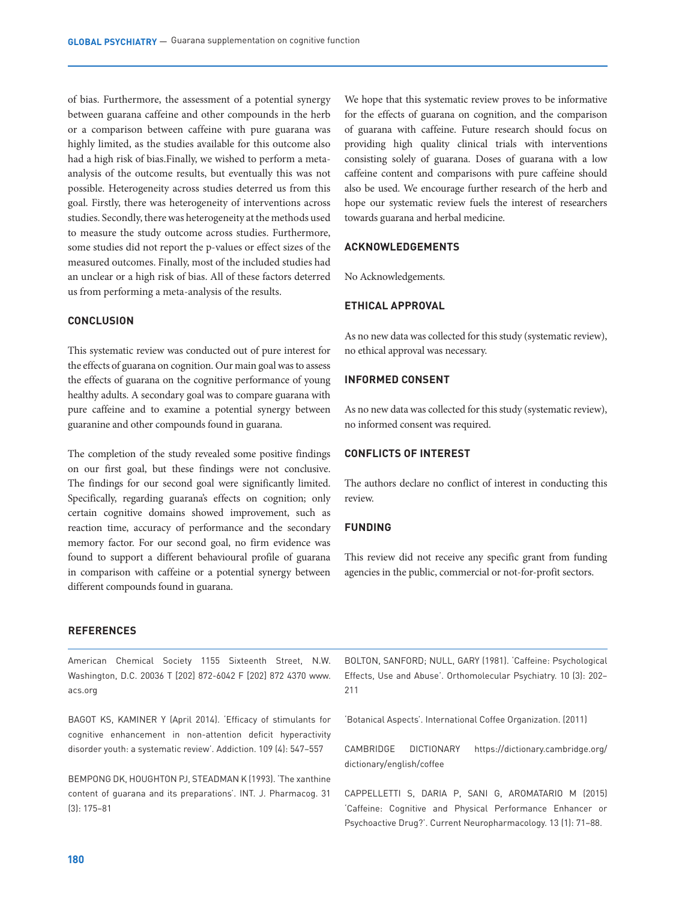of bias. Furthermore, the assessment of a potential synergy between guarana caffeine and other compounds in the herb or a comparison between caffeine with pure guarana was highly limited, as the studies available for this outcome also had a high risk of bias.Finally, we wished to perform a metaanalysis of the outcome results, but eventually this was not possible. Heterogeneity across studies deterred us from this goal. Firstly, there was heterogeneity of interventions across studies. Secondly, there was heterogeneity at the methods used to measure the study outcome across studies. Furthermore, some studies did not report the p-values or effect sizes of the measured outcomes. Finally, most of the included studies had an unclear or a high risk of bias. All of these factors deterred us from performing a meta-analysis of the results.

#### **CONCLUSION**

This systematic review was conducted out of pure interest for the effects of guarana on cognition. Our main goal was to assess the effects of guarana on the cognitive performance of young healthy adults. A secondary goal was to compare guarana with pure caffeine and to examine a potential synergy between guaranine and other compounds found in guarana.

The completion of the study revealed some positive findings on our first goal, but these findings were not conclusive. The findings for our second goal were significantly limited. Specifically, regarding guarana's effects on cognition; only certain cognitive domains showed improvement, such as reaction time, accuracy of performance and the secondary memory factor. For our second goal, no firm evidence was found to support a different behavioural profile of guarana in comparison with caffeine or a potential synergy between different compounds found in guarana.

We hope that this systematic review proves to be informative for the effects of guarana on cognition, and the comparison of guarana with caffeine. Future research should focus on providing high quality clinical trials with interventions consisting solely of guarana. Doses of guarana with a low caffeine content and comparisons with pure caffeine should also be used. We encourage further research of the herb and hope our systematic review fuels the interest of researchers towards guarana and herbal medicine.

#### **ACKNOWLEDGEMENTS**

No Acknowledgements.

#### **ETHICAL APPROVAL**

As no new data was collected for this study (systematic review), no ethical approval was necessary.

#### **INFORMED CONSENT**

As no new data was collected for this study (systematic review), no informed consent was required.

# **CONFLICTS OF INTEREST**

The authors declare no conflict of interest in conducting this review.

## **FUNDING**

This review did not receive any specific grant from funding agencies in the public, commercial or not-for-profit sectors.

#### **REFERENCES**

American Chemical Society 1155 Sixteenth Street, N.W. Washington, D.C. 20036 T [202] 872-6042 F [202] 872 4370 www. acs.org

BAGOT KS, KAMINER Y (April 2014). 'Efficacy of stimulants for cognitive enhancement in non-attention deficit hyperactivity disorder youth: a systematic review'. Addiction. 109 (4): 547–557

BEMPONG DK, HOUGHTON PJ, STEADMAN K (1993). 'The xanthine content of guarana and its preparations'. INT. J. Pharmacog. 31 (3): 175–81

BOLTON, SANFORD; NULL, GARY (1981). 'Caffeine: Psychological Effects, Use and Abuse'. Orthomolecular Psychiatry. 10 (3): 202– 211

'Botanical Aspects'. International Coffee Organization. (2011)

CAMBRIDGE DICTIONARY https://dictionary.cambridge.org/ dictionary/english/coffee

CAPPELLETTI S, DARIA P, SANI G, AROMATARIO M (2015) 'Caffeine: Cognitive and Physical Performance Enhancer or Psychoactive Drug?'. Current Neuropharmacology. 13 (1): 71–88.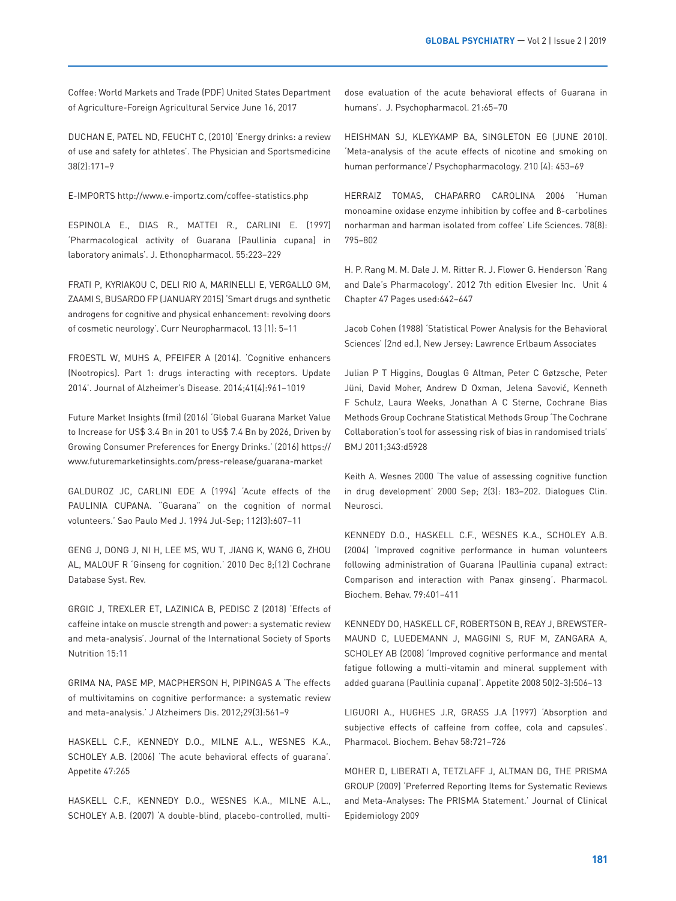Coffee: World Markets and Trade (PDF) United States Department of Agriculture-Foreign Agricultural Service June 16, 2017

DUCHAN E, PATEL ND, FEUCHT C, (2010) 'Energy drinks: a review of use and safety for athletes'. The Physician and Sportsmedicine 38(2):171–9

E-IMPORTS http://www.e-importz.com/coffee-statistics.php

ESPINOLA E., DIAS R., MATTEI R., CARLINI E. (1997) 'Pharmacological activity of Guarana (Paullinia cupana) in laboratory animals'. J. Ethonopharmacol. 55:223–229

FRATI P, KYRIAKOU C, DELI RIO A, MARINELLI E, VERGALLO GM, ZAAMI S, BUSARDO FP (JANUARY 2015) 'Smart drugs and synthetic androgens for cognitive and physical enhancement: revolving doors of cosmetic neurology'. Curr Neuropharmacol. 13 (1): 5–11

FROESTL W, MUHS A, PFEIFER A (2014). 'Cognitive enhancers (Nootropics). Part 1: drugs interacting with receptors. Update 2014'. Journal of Alzheimer's Disease. 2014;41(4):961–1019

Future Market Insights (fmi) (2016) 'Global Guarana Market Value to Increase for US\$ 3.4 Bn in 201 to US\$ 7.4 Bn by 2026, Driven by Growing Consumer Preferences for Energy Drinks.' (2016) https:// www.futuremarketinsights.com/press-release/guarana-market

GALDUROZ JC, CARLINI EDE A (1994) 'Acute effects of the PAULINIA CUPANA. "Guarana" on the cognition of normal volunteers.' Sao Paulo Med J. 1994 Jul-Sep; 112(3):607–11

GENG J, DONG J, NI H, LEE MS, WU T, JIANG K, WANG G, ZHOU AL, MALOUF R 'Ginseng for cognition.' 2010 Dec 8;(12) Cochrane Database Syst. Rev.

GRGIC J, TREXLER ET, LAZINICA B, PEDISC Z (2018) 'Effects of caffeine intake on muscle strength and power: a systematic review and meta-analysis'. Journal of the International Society of Sports Nutrition 15:11

GRIMA NA, PASE MP, MACPHERSON H, PIPINGAS A 'The effects of multivitamins on cognitive performance: a systematic review and meta-analysis.' J Alzheimers Dis. 2012;29(3):561–9

HASKELL C.F., KENNEDY D.O., MILNE A.L., WESNES K.A., SCHOLEY A.B. (2006) 'The acute behavioral effects of guarana'. Appetite 47:265

HASKELL C.F., KENNEDY D.O., WESNES K.A., MILNE A.L., SCHOLEY A.B. (2007) 'A double-blind, placebo-controlled, multidose evaluation of the acute behavioral effects of Guarana in humans'. J. Psychopharmacol. 21:65–70

HEISHMAN SJ, KLEYKAMP BA, SINGLETON EG (JUNE 2010). 'Meta-analysis of the acute effects of nicotine and smoking on human performance'/ Psychopharmacology. 210 (4): 453–69

HERRAIZ TOMAS, CHAPARRO CAROLINA 2006 'Human monoamine oxidase enzyme inhibition by coffee and β-carbolines norharman and harman isolated from coffee' Life Sciences. 78(8): 795–802

H. P. Rang M. M. Dale J. M. Ritter R. J. Flower G. Henderson 'Rang and Dale's Pharmacology'. 2012 7th edition Elvesier Inc. Unit 4 Chapter 47 Pages used:642–647

Jacob Cohen (1988) 'Statistical Power Analysis for the Behavioral Sciences' (2nd ed.), New Jersey: Lawrence Erlbaum Associates

Julian P T Higgins, Douglas G Altman, Peter C Gøtzsche, Peter Jüni, David Moher, Andrew D Oxman, Jelena Savović, Kenneth F Schulz, Laura Weeks, Jonathan A C Sterne, Cochrane Bias Methods Group Cochrane Statistical Methods Group 'The Cochrane Collaboration's tool for assessing risk of bias in randomised trials' BMJ 2011;343:d5928

Keith A. Wesnes 2000 'The value of assessing cognitive function in drug development' 2000 Sep; 2(3): 183–202. Dialogues Clin. Neurosci.

KENNEDY D.O., HASKELL C.F., WESNES K.A., SCHOLEY A.B. (2004) 'Improved cognitive performance in human volunteers following administration of Guarana (Paullinia cupana) extract: Comparison and interaction with Panax ginseng'. Pharmacol. Biochem. Behav. 79:401–411

KENNEDY DO, HASKELL CF, ROBERTSON B, REAY J, BREWSTER-MAUND C, LUEDEMANN J, MAGGINI S, RUF M, ZANGARA A, SCHOLEY AB (2008) 'Improved cognitive performance and mental fatigue following a multi-vitamin and mineral supplement with added guarana (Paullinia cupana)'. Appetite 2008 50(2-3):506–13

LIGUORI A., HUGHES J.R, GRASS J.A (1997) 'Absorption and subjective effects of caffeine from coffee, cola and capsules'. Pharmacol. Biochem. Behav 58:721–726

MOHER D, LIBERATI A, TETZLAFF J, ALTMAN DG, THE PRISMA GROUP (2009) 'Preferred Reporting Items for Systematic Reviews and Meta-Analyses: The PRISMA Statement.' Journal of Clinical Epidemiology 2009